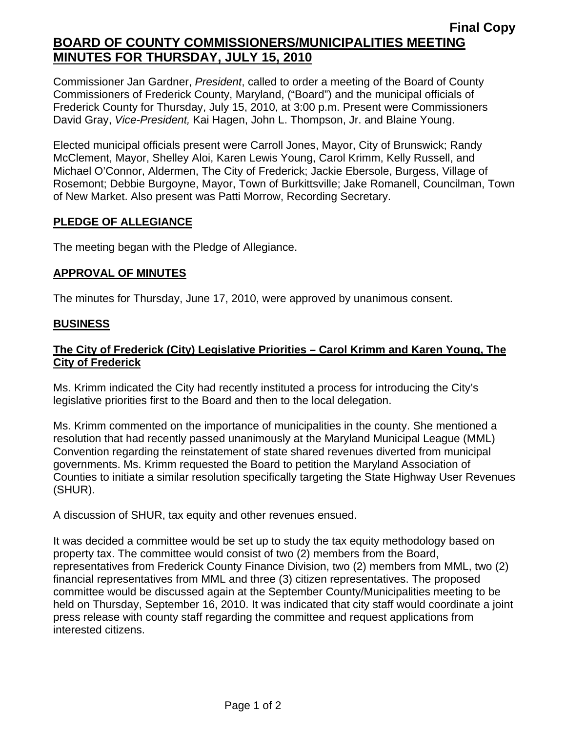Commissioner Jan Gardner, *President*, called to order a meeting of the Board of County Commissioners of Frederick County, Maryland, ("Board") and the municipal officials of Frederick County for Thursday, July 15, 2010, at 3:00 p.m. Present were Commissioners David Gray, *Vice-President,* Kai Hagen, John L. Thompson, Jr. and Blaine Young.

Elected municipal officials present were Carroll Jones, Mayor, City of Brunswick; Randy McClement, Mayor, Shelley Aloi, Karen Lewis Young, Carol Krimm, Kelly Russell, and Michael O'Connor, Aldermen, The City of Frederick; Jackie Ebersole, Burgess, Village of Rosemont; Debbie Burgoyne, Mayor, Town of Burkittsville; Jake Romanell, Councilman, Town of New Market. Also present was Patti Morrow, Recording Secretary.

## **PLEDGE OF ALLEGIANCE**

The meeting began with the Pledge of Allegiance.

## **APPROVAL OF MINUTES**

The minutes for Thursday, June 17, 2010, were approved by unanimous consent.

## **BUSINESS**

## **The City of Frederick (City) Legislative Priorities – Carol Krimm and Karen Young, The City of Frederick**

Ms. Krimm indicated the City had recently instituted a process for introducing the City's legislative priorities first to the Board and then to the local delegation.

Ms. Krimm commented on the importance of municipalities in the county. She mentioned a resolution that had recently passed unanimously at the Maryland Municipal League (MML) Convention regarding the reinstatement of state shared revenues diverted from municipal governments. Ms. Krimm requested the Board to petition the Maryland Association of Counties to initiate a similar resolution specifically targeting the State Highway User Revenues (SHUR).

A discussion of SHUR, tax equity and other revenues ensued.

It was decided a committee would be set up to study the tax equity methodology based on property tax. The committee would consist of two (2) members from the Board, representatives from Frederick County Finance Division, two (2) members from MML, two (2) financial representatives from MML and three (3) citizen representatives. The proposed committee would be discussed again at the September County/Municipalities meeting to be held on Thursday, September 16, 2010. It was indicated that city staff would coordinate a joint press release with county staff regarding the committee and request applications from interested citizens.